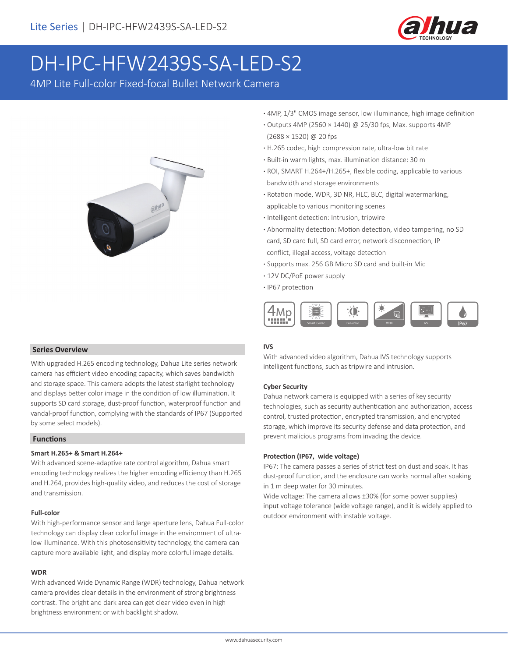

# DH-IPC-HFW2439S-SA-LED-S2

4MP Lite Full-color Fixed-focal Bullet Network Camera



- **·** 4MP, 1/3" CMOS image sensor, low illuminance, high image definition
- **·** Outputs 4MP (2560 × 1440) @ 25/30 fps, Max. supports 4MP (2688 × 1520) @ 20 fps
- **·** H.265 codec, high compression rate, ultra-low bit rate
- **·** Built-in warm lights, max. illumination distance: 30 m
- **·** ROI, SMART H.264+/H.265+, flexible coding, applicable to various bandwidth and storage environments
- **·** Rotation mode, WDR, 3D NR, HLC, BLC, digital watermarking, applicable to various monitoring scenes
- **·** Intelligent detection: Intrusion, tripwire
- **·** Abnormality detection: Motion detection, video tampering, no SD card, SD card full, SD card error, network disconnection, IP conflict, illegal access, voltage detection
- **·** Supports max. 256 GB Micro SD card and built-in Mic
- **·** 12V DC/PoE power supply
- **·** IP67 protection



#### **IVS**

With advanced video algorithm, Dahua IVS technology supports intelligent functions, such as tripwire and intrusion.

#### **Cyber Security**

Dahua network camera is equipped with a series of key security technologies, such as security authentication and authorization, access control, trusted protection, encrypted transmission, and encrypted storage, which improve its security defense and data protection, and prevent malicious programs from invading the device.

## **Protection (IP67, wide voltage)**

IP67: The camera passes a series of strict test on dust and soak. It has dust-proof function, and the enclosure can works normal after soaking in 1 m deep water for 30 minutes.

Wide voltage: The camera allows ±30% (for some power supplies) input voltage tolerance (wide voltage range), and it is widely applied to outdoor environment with instable voltage.

#### **Series Overview**

With upgraded H.265 encoding technology, Dahua Lite series network camera has efficient video encoding capacity, which saves bandwidth and storage space. This camera adopts the latest starlight technology and displays better color image in the condition of low illumination. It supports SD card storage, dust-proof function, waterproof function and vandal-proof function, complying with the standards of IP67 (Supported by some select models).

# **Functions**

#### **Smart H.265+ & Smart H.264+**

With advanced scene-adaptive rate control algorithm, Dahua smart encoding technology realizes the higher encoding efficiency than H.265 and H.264, provides high-quality video, and reduces the cost of storage and transmission.

#### **Full-color**

With high-performance sensor and large aperture lens, Dahua Full-color technology can display clear colorful image in the environment of ultralow illuminance. With this photosensitivity technology, the camera can capture more available light, and display more colorful image details.

#### **WDR**

With advanced Wide Dynamic Range (WDR) technology, Dahua network camera provides clear details in the environment of strong brightness contrast. The bright and dark area can get clear video even in high brightness environment or with backlight shadow.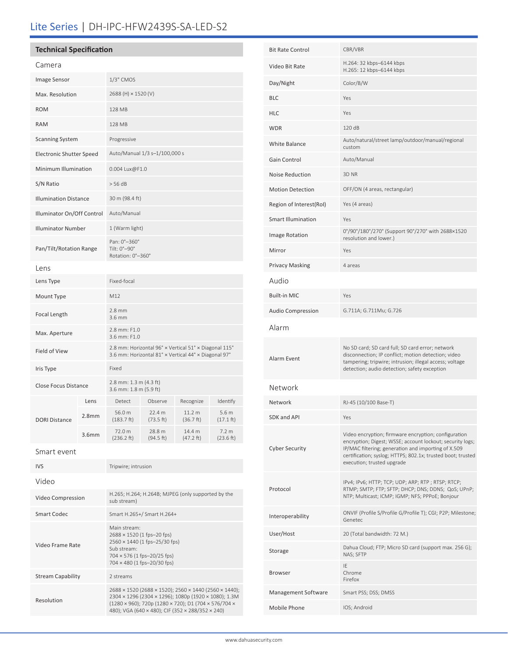# Lite Series | DH-IPC-HFW2439S-SA-LED-S2

| Camera                       |                   |                                                                                                                                                                 |                     |                                |                               |
|------------------------------|-------------------|-----------------------------------------------------------------------------------------------------------------------------------------------------------------|---------------------|--------------------------------|-------------------------------|
| Image Sensor                 |                   | 1/3" CMOS                                                                                                                                                       |                     |                                |                               |
| Max. Resolution              |                   | 2688 (H) × 1520 (V)                                                                                                                                             |                     |                                |                               |
| <b>ROM</b>                   |                   | 128 MB                                                                                                                                                          |                     |                                |                               |
| <b>RAM</b>                   |                   | 128 MB                                                                                                                                                          |                     |                                |                               |
| <b>Scanning System</b>       |                   | Progressive                                                                                                                                                     |                     |                                |                               |
| Electronic Shutter Speed     |                   | Auto/Manual 1/3 s-1/100,000 s                                                                                                                                   |                     |                                |                               |
| Minimum Illumination         |                   | 0.004 Lux@F1.0                                                                                                                                                  |                     |                                |                               |
| S/N Ratio                    |                   | > 56 dB                                                                                                                                                         |                     |                                |                               |
| <b>Illumination Distance</b> |                   | 30 m (98.4 ft)                                                                                                                                                  |                     |                                |                               |
| Illuminator On/Off Control   |                   | Auto/Manual                                                                                                                                                     |                     |                                |                               |
| <b>Illuminator Number</b>    |                   | 1 (Warm light)                                                                                                                                                  |                     |                                |                               |
| Pan/Tilt/Rotation Range      |                   | Pan: 0°-360°<br>Tilt: 0°-90°<br>Rotation: 0°-360°                                                                                                               |                     |                                |                               |
| Lens                         |                   |                                                                                                                                                                 |                     |                                |                               |
| Lens Type                    |                   | Fixed-focal                                                                                                                                                     |                     |                                |                               |
| Mount Type                   |                   | M12                                                                                                                                                             |                     |                                |                               |
| Focal Length                 |                   | $2.8$ mm<br>3.6 mm                                                                                                                                              |                     |                                |                               |
| Max. Aperture                |                   | 2.8 mm: F1.0<br>3.6 mm: F1.0                                                                                                                                    |                     |                                |                               |
| Field of View                |                   | 2.8 mm: Horizontal 96° x Vertical 51° x Diagonal 115°<br>3.6 mm: Horizontal 81° x Vertical 44° x Diagonal 97°                                                   |                     |                                |                               |
| Iris Type                    |                   | Fixed                                                                                                                                                           |                     |                                |                               |
| <b>Close Focus Distance</b>  |                   | 2.8 mm: 1.3 m (4.3 ft)<br>3.6 mm: 1.8 m (5.9 ft)                                                                                                                |                     |                                |                               |
|                              | Lens              | Detect                                                                                                                                                          | Observe             | Recognize                      | Identify                      |
| <b>DORI Distance</b>         | 2.8 <sub>mm</sub> | 56.0 m<br>$(183.7)$ ft)                                                                                                                                         | 22.4 m<br>(73.5 ft) | 11.2 <sub>m</sub><br>(36.7 ft) | 5.6 m<br>$(17.1 \text{ ft})$  |
|                              | 3.6 <sub>mm</sub> | 72.0 m<br>(236.2 ft)                                                                                                                                            | 28.8 m<br>(94.5 ft) | 14.4 m<br>(47.2 ft)            | 7.2 <sub>m</sub><br>(23.6 ft) |
| Smart event                  |                   |                                                                                                                                                                 |                     |                                |                               |
| <b>IVS</b>                   |                   | Tripwire; intrusion                                                                                                                                             |                     |                                |                               |
| Video                        |                   |                                                                                                                                                                 |                     |                                |                               |
| Video Compression            |                   | H.265; H.264; H.264B; MJPEG (only supported by the<br>sub stream)                                                                                               |                     |                                |                               |
| <b>Smart Codec</b>           |                   | Smart H.265+/ Smart H.264+                                                                                                                                      |                     |                                |                               |
| Video Frame Rate             |                   | Main stream:<br>2688 × 1520 (1 fps-20 fps)<br>2560 × 1440 (1 fps-25/30 fps)<br>Sub stream:<br>$704 \times 576$ (1 fps-20/25 fps)<br>704 × 480 (1 fps-20/30 fps) |                     |                                |                               |
| <b>Stream Capability</b>     |                   | 2 streams                                                                                                                                                       |                     |                                |                               |
| Resolution                   |                   | 2688 × 1520 (2688 × 1520); 2560 × 1440 (2560 × 1440);<br>2304 × 1296 (2304 × 1296); 1080p (1920 × 1080); 1.3M                                                   |                     |                                |                               |

| <b>Bit Rate Control</b>   | CBR/VBR                                                                                                                                                                                                                                                               |  |  |
|---------------------------|-----------------------------------------------------------------------------------------------------------------------------------------------------------------------------------------------------------------------------------------------------------------------|--|--|
| Video Bit Rate            | H.264: 32 kbps-6144 kbps<br>H.265: 12 kbps-6144 kbps                                                                                                                                                                                                                  |  |  |
| Day/Night                 | Color/B/W                                                                                                                                                                                                                                                             |  |  |
| BLC                       | Yes                                                                                                                                                                                                                                                                   |  |  |
| HLC                       | Yes                                                                                                                                                                                                                                                                   |  |  |
| WDR                       | 120 dB                                                                                                                                                                                                                                                                |  |  |
| <b>White Balance</b>      | Auto/natural/street lamp/outdoor/manual/regional<br>custom                                                                                                                                                                                                            |  |  |
| Gain Control              | Auto/Manual                                                                                                                                                                                                                                                           |  |  |
| <b>Noise Reduction</b>    | 3D NR                                                                                                                                                                                                                                                                 |  |  |
| <b>Motion Detection</b>   | OFF/ON (4 areas, rectangular)                                                                                                                                                                                                                                         |  |  |
| Region of Interest(RoI)   | Yes (4 areas)                                                                                                                                                                                                                                                         |  |  |
| <b>Smart Illumination</b> | Yes                                                                                                                                                                                                                                                                   |  |  |
| <b>Image Rotation</b>     | 0°/90°/180°/270° (Support 90°/270° with 2688×1520<br>resolution and lower.)                                                                                                                                                                                           |  |  |
| Mirror                    | Yes                                                                                                                                                                                                                                                                   |  |  |
| <b>Privacy Masking</b>    | 4 areas                                                                                                                                                                                                                                                               |  |  |
| Audio                     |                                                                                                                                                                                                                                                                       |  |  |
| <b>Built-in MIC</b>       | Yes                                                                                                                                                                                                                                                                   |  |  |
| <b>Audio Compression</b>  | G.711A; G.711Mu; G.726                                                                                                                                                                                                                                                |  |  |
| Alarm                     |                                                                                                                                                                                                                                                                       |  |  |
| Alarm Event               | No SD card; SD card full; SD card error; network<br>disconnection; IP conflict; motion detection; video<br>tampering; tripwire; intrusion; illegal access; voltage<br>detection; audio detection; safety exception                                                    |  |  |
| Network                   |                                                                                                                                                                                                                                                                       |  |  |
| Network                   | RJ-45 (10/100 Base-T)                                                                                                                                                                                                                                                 |  |  |
| SDK and API               | Yes                                                                                                                                                                                                                                                                   |  |  |
| <b>Cyber Security</b>     | Video encryption; firmware encryption; configuration<br>encryption; Digest; WSSE; account lockout; security logs;<br>IP/MAC filtering; generation and importing of X.509<br>certification; syslog; HTTPS; 802.1x; trusted boot; trusted<br>execution; trusted upgrade |  |  |
| Protocol                  | IPv4; IPv6; HTTP; TCP; UDP; ARP; RTP; RTSP; RTCP;<br>RTMP; SMTP; FTP; SFTP; DHCP; DNS; DDNS; QoS; UPnP;<br>NTP; Multicast; ICMP; IGMP; NFS; PPPoE; Bonjour                                                                                                            |  |  |
| Interoperability          | ONVIF (Profile S/Profile G/Profile T); CGI; P2P; Milestone;<br>Genetec                                                                                                                                                                                                |  |  |
| User/Host                 | 20 (Total bandwidth: 72 M.)                                                                                                                                                                                                                                           |  |  |
| Storage                   | Dahua Cloud; FTP; Micro SD card (support max. 256 G);<br>NAS; SFTP                                                                                                                                                                                                    |  |  |
| <b>Browser</b>            | IE<br>Chrome<br>Firefox                                                                                                                                                                                                                                               |  |  |
| Management Software       | Smart PSS; DSS; DMSS                                                                                                                                                                                                                                                  |  |  |
| Mobile Phone              | IOS; Android                                                                                                                                                                                                                                                          |  |  |
|                           |                                                                                                                                                                                                                                                                       |  |  |

(1280 × 960); 720p (1280 × 720); D1 (704 × 576/704 × 480); VGA (640 × 480); CIF (352 × 288/352 × 240)